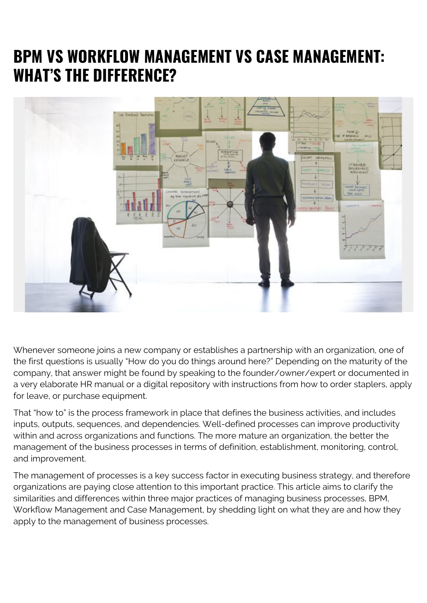### **BPM VS WORKFLOW MANAGEMENT VS CASE MANAGEMENT: WHAT'S THE DIFFERENCE?**



Whenever someone joins a new company or establishes a partnership with an organization, one of the first questions is usually "How do you do things around here?" Depending on the maturity of the company, that answer might be found by speaking to the founder/owner/expert or documented in a very elaborate HR manual or a digital repository with instructions from how to order staplers, apply for leave, or purchase equipment.

That "how to" is the process framework in place that defines the business activities, and includes inputs, outputs, sequences, and dependencies. Well-defined processes can improve productivity within and across organizations and functions. The more mature an organization, the better the management of the business processes in terms of definition, establishment, monitoring, control, and improvement.

The management of processes is a key success factor in executing business strategy, and therefore organizations are paying close attention to this important practice. This article aims to clarify the similarities and differences within three major practices of managing business processes, BPM, Workflow Management and Case Management, by shedding light on what they are and how they apply to the management of business processes.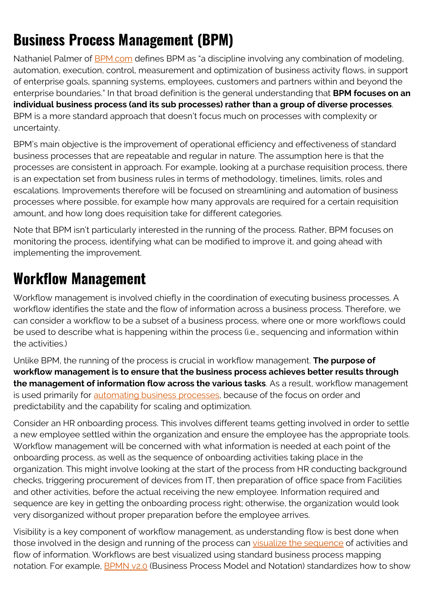## **Business Process Management (BPM)**

Nathaniel Palmer of [BPM.com](https://bpm.com/what-is-bpm) defines BPM as "a discipline involving any combination of modeling, automation, execution, control, measurement and optimization of business activity flows, in support of enterprise goals, spanning systems, employees, customers and partners within and beyond the enterprise boundaries." In that broad definition is the general understanding that **BPM focuses on an individual business process (and its sub processes) rather than a group of diverse processes**. BPM is a more standard approach that doesn't focus much on processes with complexity or uncertainty.

BPM's main objective is the improvement of operational efficiency and effectiveness of standard business processes that are repeatable and regular in nature. The assumption here is that the processes are consistent in approach. For example, looking at a purchase requisition process, there is an expectation set from business rules in terms of methodology, timelines, limits, roles and escalations. Improvements therefore will be focused on streamlining and automation of business processes where possible, for example how many approvals are required for a certain requisition amount, and how long does requisition take for different categories.

Note that BPM isn't particularly interested in the running of the process. Rather, BPM focuses on monitoring the process, identifying what can be modified to improve it, and going ahead with implementing the improvement.

#### **Workflow Management**

Workflow management is involved chiefly in the coordination of executing business processes. A workflow identifies the state and the flow of information across a business process. Therefore, we can consider a workflow to be a subset of a business process, where one or more workflows could be used to describe what is happening within the process (i.e., sequencing and information within the activities.)

Unlike BPM, the running of the process is crucial in workflow management. **The purpose of workflow management is to ensure that the business process achieves better results through the management of information flow across the various tasks**. As a result, workflow management is used primarily for [automating business processes,](https://blogs.bmc.com/blogs/open-source-and-workload-automation/) because of the focus on order and predictability and the capability for scaling and optimization.

Consider an HR onboarding process. This involves different teams getting involved in order to settle a new employee settled within the organization and ensure the employee has the appropriate tools. Workflow management will be concerned with what information is needed at each point of the onboarding process, as well as the sequence of onboarding activities taking place in the organization. This might involve looking at the start of the process from HR conducting background checks, triggering procurement of devices from IT, then preparation of office space from Facilities and other activities, before the actual receiving the new employee. Information required and sequence are key in getting the onboarding process right; otherwise, the organization would look very disorganized without proper preparation before the employee arrives.

Visibility is a key component of workflow management, as understanding flow is best done when those involved in the design and running of the process can [visualize the sequence](https://blogs.bmc.com/blogs/business-capability-mapping/) of activities and flow of information. Workflows are best visualized using standard business process mapping notation. For example, **BPMN v2.0** (Business Process Model and Notation) standardizes how to show